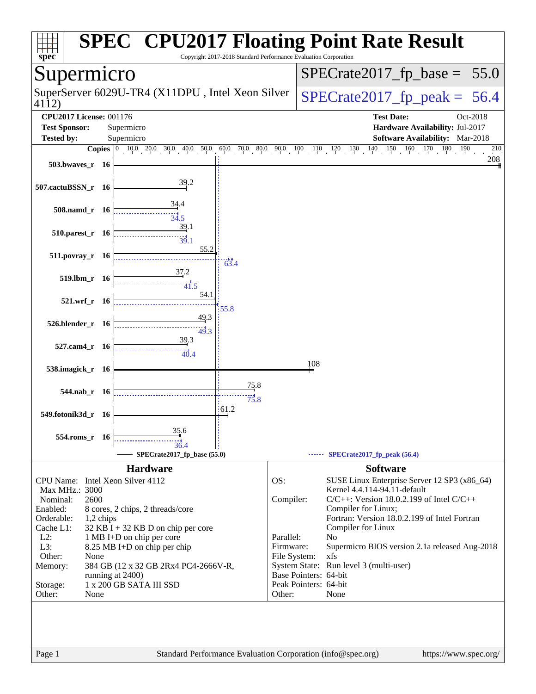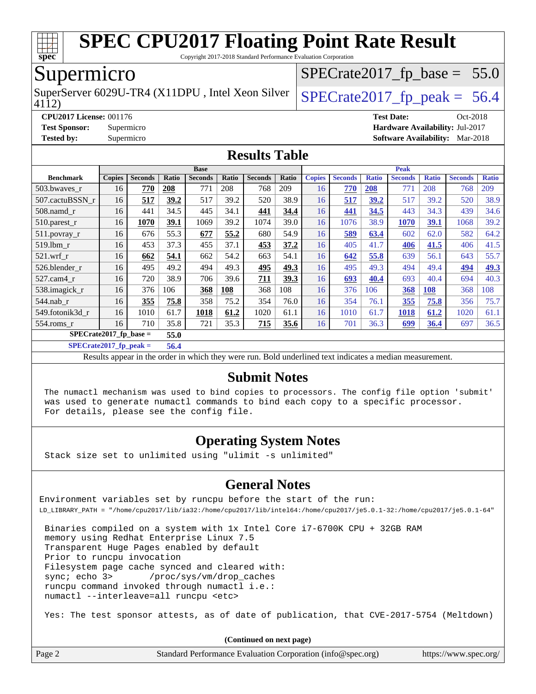

Copyright 2017-2018 Standard Performance Evaluation Corporation

### Supermicro

SuperServer 6029U-TR4 (X11DPU, Intel Xeon Silver  $\big|$  [SPECrate2017\\_fp\\_peak =](http://www.spec.org/auto/cpu2017/Docs/result-fields.html#SPECrate2017fppeak) 56.4

 $SPECTate2017_fp\_base = 55.0$ 

4112)

**[CPU2017 License:](http://www.spec.org/auto/cpu2017/Docs/result-fields.html#CPU2017License)** 001176 **[Test Date:](http://www.spec.org/auto/cpu2017/Docs/result-fields.html#TestDate)** Oct-2018 **[Test Sponsor:](http://www.spec.org/auto/cpu2017/Docs/result-fields.html#TestSponsor)** Supermicro **[Hardware Availability:](http://www.spec.org/auto/cpu2017/Docs/result-fields.html#HardwareAvailability)** Jul-2017 **[Tested by:](http://www.spec.org/auto/cpu2017/Docs/result-fields.html#Testedby)** Supermicro **[Software Availability:](http://www.spec.org/auto/cpu2017/Docs/result-fields.html#SoftwareAvailability)** Mar-2018

#### **[Results Table](http://www.spec.org/auto/cpu2017/Docs/result-fields.html#ResultsTable)**

|                                  | <b>Base</b>   |                |       |                |       | <b>Peak</b>    |       |               |                |              |                |              |                |              |
|----------------------------------|---------------|----------------|-------|----------------|-------|----------------|-------|---------------|----------------|--------------|----------------|--------------|----------------|--------------|
| <b>Benchmark</b>                 | <b>Copies</b> | <b>Seconds</b> | Ratio | <b>Seconds</b> | Ratio | <b>Seconds</b> | Ratio | <b>Copies</b> | <b>Seconds</b> | <b>Ratio</b> | <b>Seconds</b> | <b>Ratio</b> | <b>Seconds</b> | <b>Ratio</b> |
| 503.bwaves_r                     | 16            | 770            | 208   | 771            | 208   | 768            | 209   | 16            | 770            | <b>208</b>   | 771            | 208          | 768            | 209          |
| 507.cactuBSSN r                  | 16            | 517            | 39.2  | 517            | 39.2  | 520            | 38.9  | 16            | 517            | 39.2         | 517            | 39.2         | 520            | 38.9         |
| $508$ .namd $r$                  | 16            | 441            | 34.5  | 445            | 34.1  | 441            | 34.4  | 16            | 441            | 34.5         | 443            | 34.3         | 439            | 34.6         |
| 510.parest_r                     | 16            | 1070           | 39.1  | 1069           | 39.2  | 1074           | 39.0  | 16            | 1076           | 38.9         | 1070           | 39.1         | 1068           | 39.2         |
| 511.povray_r                     | 16            | 676            | 55.3  | 677            | 55.2  | 680            | 54.9  | 16            | 589            | 63.4         | 602            | 62.0         | 582            | 64.2         |
| 519.1bm r                        | 16            | 453            | 37.3  | 455            | 37.1  | 453            | 37.2  | 16            | 405            | 41.7         | 406            | 41.5         | 406            | 41.5         |
| $521$ .wrf r                     | 16            | 662            | 54.1  | 662            | 54.2  | 663            | 54.1  | 16            | 642            | 55.8         | 639            | 56.1         | 643            | 55.7         |
| 526.blender r                    | 16            | 495            | 49.2  | 494            | 49.3  | 495            | 49.3  | 16            | 495            | 49.3         | 494            | 49.4         | 494            | 49.3         |
| 527.cam4 r                       | 16            | 720            | 38.9  | 706            | 39.6  | <u>711</u>     | 39.3  | 16            | 693            | 40.4         | 693            | 40.4         | 694            | 40.3         |
| 538.imagick_r                    | 16            | 376            | 106   | 368            | 108   | 368            | 108   | 16            | 376            | 106          | 368            | 108          | 368            | 108          |
| $544$ .nab r                     | 16            | 355            | 75.8  | 358            | 75.2  | 354            | 76.0  | 16            | 354            | 76.1         | 355            | 75.8         | 356            | 75.7         |
| 549.fotonik3d r                  | 16            | 1010           | 61.7  | 1018           | 61.2  | 1020           | 61.1  | 16            | 1010           | 61.7         | 1018           | 61.2         | 1020           | 61.1         |
| $554$ .roms $r$                  | 16            | 710            | 35.8  | 721            | 35.3  | <u>715</u>     | 35.6  | 16            | 701            | 36.3         | 699            | 36.4         | 697            | 36.5         |
| $SPECrate2017$ fp base =<br>55.0 |               |                |       |                |       |                |       |               |                |              |                |              |                |              |

**[SPECrate2017\\_fp\\_peak =](http://www.spec.org/auto/cpu2017/Docs/result-fields.html#SPECrate2017fppeak) 56.4**

Results appear in the [order in which they were run.](http://www.spec.org/auto/cpu2017/Docs/result-fields.html#RunOrder) Bold underlined text [indicates a median measurement.](http://www.spec.org/auto/cpu2017/Docs/result-fields.html#Median)

#### **[Submit Notes](http://www.spec.org/auto/cpu2017/Docs/result-fields.html#SubmitNotes)**

 The numactl mechanism was used to bind copies to processors. The config file option 'submit' was used to generate numactl commands to bind each copy to a specific processor. For details, please see the config file.

#### **[Operating System Notes](http://www.spec.org/auto/cpu2017/Docs/result-fields.html#OperatingSystemNotes)**

Stack size set to unlimited using "ulimit -s unlimited"

#### **[General Notes](http://www.spec.org/auto/cpu2017/Docs/result-fields.html#GeneralNotes)**

Environment variables set by runcpu before the start of the run: LD\_LIBRARY\_PATH = "/home/cpu2017/lib/ia32:/home/cpu2017/lib/intel64:/home/cpu2017/je5.0.1-32:/home/cpu2017/je5.0.1-64"

 Binaries compiled on a system with 1x Intel Core i7-6700K CPU + 32GB RAM memory using Redhat Enterprise Linux 7.5 Transparent Huge Pages enabled by default Prior to runcpu invocation Filesystem page cache synced and cleared with: sync; echo 3> /proc/sys/vm/drop\_caches runcpu command invoked through numactl i.e.: numactl --interleave=all runcpu <etc>

Yes: The test sponsor attests, as of date of publication, that CVE-2017-5754 (Meltdown)

**(Continued on next page)**

| Page 2 | Standard Performance Evaluation Corporation (info@spec.org) | https://www.spec.org/ |
|--------|-------------------------------------------------------------|-----------------------|
|--------|-------------------------------------------------------------|-----------------------|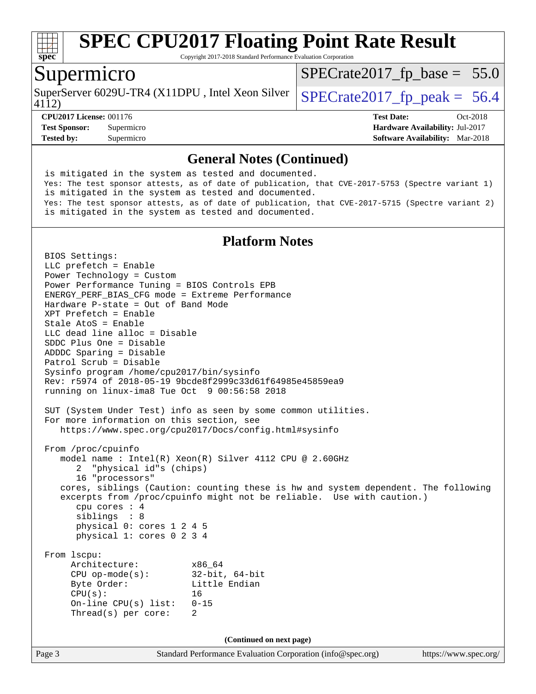

Copyright 2017-2018 Standard Performance Evaluation Corporation

#### Supermicro

SuperServer 6029U-TR4 (X11DPU, Intel Xeon Silver  $\big|$  [SPECrate2017\\_fp\\_peak =](http://www.spec.org/auto/cpu2017/Docs/result-fields.html#SPECrate2017fppeak) 56.4

 $SPECTate2017_fp\_base = 55.0$ 

4112)

**[Tested by:](http://www.spec.org/auto/cpu2017/Docs/result-fields.html#Testedby)** Supermicro **[Software Availability:](http://www.spec.org/auto/cpu2017/Docs/result-fields.html#SoftwareAvailability)** Mar-2018

**[CPU2017 License:](http://www.spec.org/auto/cpu2017/Docs/result-fields.html#CPU2017License)** 001176 **[Test Date:](http://www.spec.org/auto/cpu2017/Docs/result-fields.html#TestDate)** Oct-2018 **[Test Sponsor:](http://www.spec.org/auto/cpu2017/Docs/result-fields.html#TestSponsor)** Supermicro **[Hardware Availability:](http://www.spec.org/auto/cpu2017/Docs/result-fields.html#HardwareAvailability)** Jul-2017

#### **[General Notes \(Continued\)](http://www.spec.org/auto/cpu2017/Docs/result-fields.html#GeneralNotes)**

 is mitigated in the system as tested and documented. Yes: The test sponsor attests, as of date of publication, that CVE-2017-5753 (Spectre variant 1) is mitigated in the system as tested and documented. Yes: The test sponsor attests, as of date of publication, that CVE-2017-5715 (Spectre variant 2) is mitigated in the system as tested and documented.

#### **[Platform Notes](http://www.spec.org/auto/cpu2017/Docs/result-fields.html#PlatformNotes)**

Page 3 Standard Performance Evaluation Corporation [\(info@spec.org\)](mailto:info@spec.org) <https://www.spec.org/> BIOS Settings: LLC prefetch = Enable Power Technology = Custom Power Performance Tuning = BIOS Controls EPB ENERGY\_PERF\_BIAS\_CFG mode = Extreme Performance Hardware P-state = Out of Band Mode XPT Prefetch = Enable Stale AtoS = Enable LLC dead line alloc = Disable SDDC Plus One = Disable ADDDC Sparing = Disable Patrol Scrub = Disable Sysinfo program /home/cpu2017/bin/sysinfo Rev: r5974 of 2018-05-19 9bcde8f2999c33d61f64985e45859ea9 running on linux-ima8 Tue Oct 9 00:56:58 2018 SUT (System Under Test) info as seen by some common utilities. For more information on this section, see <https://www.spec.org/cpu2017/Docs/config.html#sysinfo> From /proc/cpuinfo model name : Intel(R) Xeon(R) Silver 4112 CPU @ 2.60GHz 2 "physical id"s (chips) 16 "processors" cores, siblings (Caution: counting these is hw and system dependent. The following excerpts from /proc/cpuinfo might not be reliable. Use with caution.) cpu cores : 4 siblings : 8 physical 0: cores 1 2 4 5 physical 1: cores 0 2 3 4 From lscpu: Architecture: x86\_64 CPU op-mode(s): 32-bit, 64-bit Byte Order: Little Endian CPU(s): 16 On-line CPU(s) list: 0-15 Thread(s) per core: 2 **(Continued on next page)**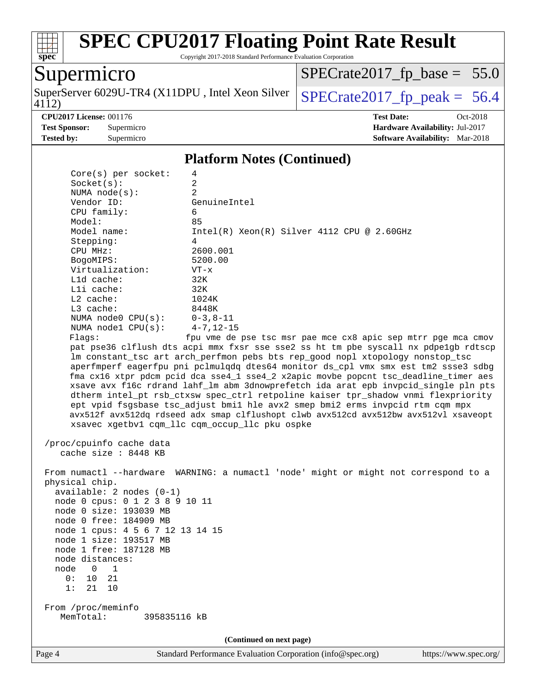

Copyright 2017-2018 Standard Performance Evaluation Corporation

## Supermicro

4112) SuperServer 6029U-TR4 (X11DPU, Intel Xeon Silver  $\big|$  SPECrate 2017 fp peak = 56.4

 $SPECrate2017_fp\_base = 55.0$ 

**[Test Sponsor:](http://www.spec.org/auto/cpu2017/Docs/result-fields.html#TestSponsor)** Supermicro **[Hardware Availability:](http://www.spec.org/auto/cpu2017/Docs/result-fields.html#HardwareAvailability)** Jul-2017 **[Tested by:](http://www.spec.org/auto/cpu2017/Docs/result-fields.html#Testedby)** Supermicro **[Software Availability:](http://www.spec.org/auto/cpu2017/Docs/result-fields.html#SoftwareAvailability)** Mar-2018

**[CPU2017 License:](http://www.spec.org/auto/cpu2017/Docs/result-fields.html#CPU2017License)** 001176 **[Test Date:](http://www.spec.org/auto/cpu2017/Docs/result-fields.html#TestDate)** Oct-2018

**[Platform Notes \(Continued\)](http://www.spec.org/auto/cpu2017/Docs/result-fields.html#PlatformNotes)**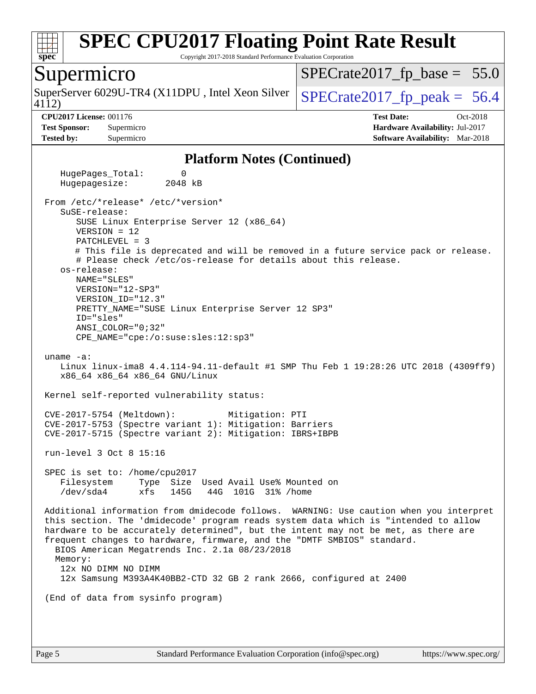

Copyright 2017-2018 Standard Performance Evaluation Corporation

#### Supermicro

SuperServer 6029U-TR4 (X11DPU, Intel Xeon Silver  $\big|$  SPECrate 2017 fp peak = 56.4

 $SPECTate2017_fp\_base = 55.0$ 

4112)

**[Tested by:](http://www.spec.org/auto/cpu2017/Docs/result-fields.html#Testedby)** Supermicro **[Software Availability:](http://www.spec.org/auto/cpu2017/Docs/result-fields.html#SoftwareAvailability)** Mar-2018

**[CPU2017 License:](http://www.spec.org/auto/cpu2017/Docs/result-fields.html#CPU2017License)** 001176 **[Test Date:](http://www.spec.org/auto/cpu2017/Docs/result-fields.html#TestDate)** Oct-2018 **[Test Sponsor:](http://www.spec.org/auto/cpu2017/Docs/result-fields.html#TestSponsor)** Supermicro **[Hardware Availability:](http://www.spec.org/auto/cpu2017/Docs/result-fields.html#HardwareAvailability)** Jul-2017

#### **[Platform Notes \(Continued\)](http://www.spec.org/auto/cpu2017/Docs/result-fields.html#PlatformNotes)**

HugePages Total: 0 Hugepagesize: 2048 kB From /etc/\*release\* /etc/\*version\* SuSE-release: SUSE Linux Enterprise Server 12 (x86\_64) VERSION = 12 PATCHLEVEL = 3 # This file is deprecated and will be removed in a future service pack or release. # Please check /etc/os-release for details about this release. os-release: NAME="SLES" VERSION="12-SP3" VERSION\_ID="12.3" PRETTY\_NAME="SUSE Linux Enterprise Server 12 SP3" ID="sles" ANSI\_COLOR="0;32" CPE\_NAME="cpe:/o:suse:sles:12:sp3" uname -a: Linux linux-ima8 4.4.114-94.11-default #1 SMP Thu Feb 1 19:28:26 UTC 2018 (4309ff9) x86\_64 x86\_64 x86\_64 GNU/Linux Kernel self-reported vulnerability status: CVE-2017-5754 (Meltdown): Mitigation: PTI CVE-2017-5753 (Spectre variant 1): Mitigation: Barriers CVE-2017-5715 (Spectre variant 2): Mitigation: IBRS+IBPB run-level 3 Oct 8 15:16 SPEC is set to: /home/cpu2017 Filesystem Type Size Used Avail Use% Mounted on /dev/sda4 xfs 145G 44G 101G 31% /home Additional information from dmidecode follows. WARNING: Use caution when you interpret this section. The 'dmidecode' program reads system data which is "intended to allow hardware to be accurately determined", but the intent may not be met, as there are frequent changes to hardware, firmware, and the "DMTF SMBIOS" standard. BIOS American Megatrends Inc. 2.1a 08/23/2018 Memory: 12x NO DIMM NO DIMM 12x Samsung M393A4K40BB2-CTD 32 GB 2 rank 2666, configured at 2400 (End of data from sysinfo program)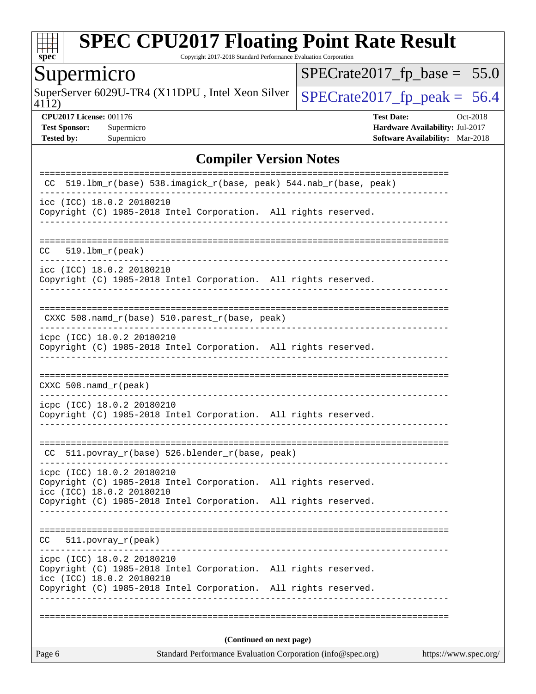

Copyright 2017-2018 Standard Performance Evaluation Corporation

## Supermicro

SuperServer 6029U-TR4 (X11DPU, Intel Xeon Silver  $\sqrt{\text{SPECrate2017\_fp\_peak}} = 56.4$ 

 $SPECrate2017_fp\_base = 55.0$ 

4112)

**[CPU2017 License:](http://www.spec.org/auto/cpu2017/Docs/result-fields.html#CPU2017License)** 001176 **[Test Date:](http://www.spec.org/auto/cpu2017/Docs/result-fields.html#TestDate)** Oct-2018 **[Test Sponsor:](http://www.spec.org/auto/cpu2017/Docs/result-fields.html#TestSponsor)** Supermicro **[Hardware Availability:](http://www.spec.org/auto/cpu2017/Docs/result-fields.html#HardwareAvailability)** Jul-2017 **[Tested by:](http://www.spec.org/auto/cpu2017/Docs/result-fields.html#Testedby)** Supermicro **Supermicro [Software Availability:](http://www.spec.org/auto/cpu2017/Docs/result-fields.html#SoftwareAvailability)** Mar-2018

#### **[Compiler Version Notes](http://www.spec.org/auto/cpu2017/Docs/result-fields.html#CompilerVersionNotes)**

| Page 6                                                                                                                     | Standard Performance Evaluation Corporation (info@spec.org) | https://www.spec.org/ |
|----------------------------------------------------------------------------------------------------------------------------|-------------------------------------------------------------|-----------------------|
|                                                                                                                            | (Continued on next page)                                    |                       |
|                                                                                                                            |                                                             |                       |
| icc (ICC) 18.0.2 20180210<br>Copyright (C) 1985-2018 Intel Corporation. All rights reserved.                               |                                                             |                       |
| icpc (ICC) 18.0.2 20180210<br>Copyright (C) 1985-2018 Intel Corporation. All rights reserved.                              |                                                             |                       |
| $511. povray_r (peak)$<br>CC.                                                                                              |                                                             |                       |
| Copyright (C) 1985-2018 Intel Corporation. All rights reserved.                                                            |                                                             |                       |
| icpc (ICC) 18.0.2 20180210<br>Copyright (C) 1985-2018 Intel Corporation. All rights reserved.<br>icc (ICC) 18.0.2 20180210 |                                                             |                       |
| CC 511.povray_r(base) 526.blender_r(base, peak)                                                                            |                                                             |                       |
| icpc (ICC) 18.0.2 20180210<br>Copyright (C) 1985-2018 Intel Corporation. All rights reserved.                              |                                                             |                       |
| $CXXC 508.namd_r (peak)$                                                                                                   | -----------------------------------                         |                       |
| icpc (ICC) 18.0.2 20180210<br>Copyright (C) 1985-2018 Intel Corporation. All rights reserved.                              |                                                             |                       |
| $CXXC 508.namd_r(base) 510.parest_r(base, peak)$                                                                           |                                                             |                       |
| icc (ICC) 18.0.2 20180210<br>Copyright (C) 1985-2018 Intel Corporation. All rights reserved.                               |                                                             |                       |
| $519.1$ bm r(peak)<br>CC.                                                                                                  |                                                             |                       |
| icc (ICC) 18.0.2 20180210<br>Copyright (C) 1985-2018 Intel Corporation. All rights reserved.                               |                                                             |                       |
| 519.1bm_r(base) 538.imagick_r(base, peak) 544.nab_r(base, peak)<br>CC.                                                     |                                                             |                       |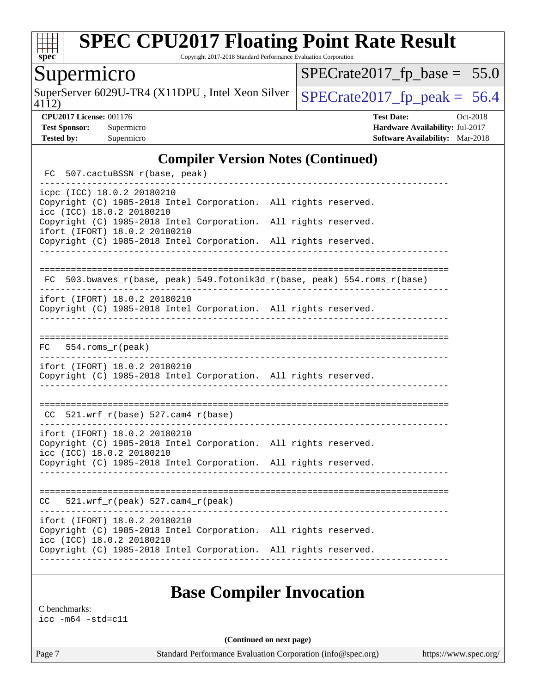

Copyright 2017-2018 Standard Performance Evaluation Corporation

## Supermicro

SuperServer 6029U-TR4 (X11DPU, Intel Xeon Silver  $\big|$  [SPECrate2017\\_fp\\_peak =](http://www.spec.org/auto/cpu2017/Docs/result-fields.html#SPECrate2017fppeak) 56.4

 $SPECrate2017_fp\_base = 55.0$ 

4112)

**[CPU2017 License:](http://www.spec.org/auto/cpu2017/Docs/result-fields.html#CPU2017License)** 001176 **[Test Date:](http://www.spec.org/auto/cpu2017/Docs/result-fields.html#TestDate)** Oct-2018 **[Test Sponsor:](http://www.spec.org/auto/cpu2017/Docs/result-fields.html#TestSponsor)** Supermicro **[Hardware Availability:](http://www.spec.org/auto/cpu2017/Docs/result-fields.html#HardwareAvailability)** Jul-2017 **[Tested by:](http://www.spec.org/auto/cpu2017/Docs/result-fields.html#Testedby)** Supermicro **[Software Availability:](http://www.spec.org/auto/cpu2017/Docs/result-fields.html#SoftwareAvailability)** Mar-2018

#### **[Compiler Version Notes \(Continued\)](http://www.spec.org/auto/cpu2017/Docs/result-fields.html#CompilerVersionNotes)**

| FC  |  | 507.cactuBSSN_r(base, peak)                                |                                                                                                                                    |  |                                                                       |
|-----|--|------------------------------------------------------------|------------------------------------------------------------------------------------------------------------------------------------|--|-----------------------------------------------------------------------|
|     |  | icpc (ICC) 18.0.2 20180210<br>icc (ICC) 18.0.2 20180210    | Copyright (C) 1985-2018 Intel Corporation. All rights reserved.                                                                    |  |                                                                       |
|     |  | ifort (IFORT) 18.0.2 20180210                              | Copyright (C) 1985-2018 Intel Corporation.<br>Copyright (C) 1985-2018 Intel Corporation. All rights reserved.                      |  | All rights reserved.                                                  |
| FC  |  |                                                            |                                                                                                                                    |  | 503.bwaves_r(base, peak) 549.fotonik3d_r(base, peak) 554.roms_r(base) |
|     |  | ifort (IFORT) 18.0.2 20180210                              | Copyright (C) 1985-2018 Intel Corporation. All rights reserved.                                                                    |  |                                                                       |
|     |  | $FC$ 554. roms $r$ (peak)                                  |                                                                                                                                    |  |                                                                       |
|     |  | ifort (IFORT) 18.0.2 20180210                              | Copyright (C) 1985-2018 Intel Corporation. All rights reserved.                                                                    |  |                                                                       |
| CC. |  | $521.wrf_r(base) 527.cam4_r(base)$                         |                                                                                                                                    |  |                                                                       |
|     |  | ifort (IFORT) 18.0.2 20180210<br>icc (ICC) 18.0.2 20180210 | Copyright (C) 1985-2018 Intel Corporation. All rights reserved.                                                                    |  |                                                                       |
|     |  |                                                            | Copyright (C) 1985-2018 Intel Corporation. All rights reserved.                                                                    |  |                                                                       |
| CC  |  | $521.wrf_r(peak) 527.cam4_r(peak)$                         |                                                                                                                                    |  |                                                                       |
|     |  | ifort (IFORT) 18.0.2 20180210<br>icc (ICC) 18.0.2 20180210 | Copyright (C) 1985-2018 Intel Corporation. All rights reserved.<br>Copyright (C) 1985-2018 Intel Corporation. All rights reserved. |  |                                                                       |
|     |  |                                                            |                                                                                                                                    |  |                                                                       |

## **[Base Compiler Invocation](http://www.spec.org/auto/cpu2017/Docs/result-fields.html#BaseCompilerInvocation)**

[C benchmarks:](http://www.spec.org/auto/cpu2017/Docs/result-fields.html#Cbenchmarks) [icc -m64 -std=c11](http://www.spec.org/cpu2017/results/res2018q4/cpu2017-20181015-09217.flags.html#user_CCbase_intel_icc_64bit_c11_33ee0cdaae7deeeab2a9725423ba97205ce30f63b9926c2519791662299b76a0318f32ddfffdc46587804de3178b4f9328c46fa7c2b0cd779d7a61945c91cd35)

**(Continued on next page)**

Page 7 Standard Performance Evaluation Corporation [\(info@spec.org\)](mailto:info@spec.org) <https://www.spec.org/>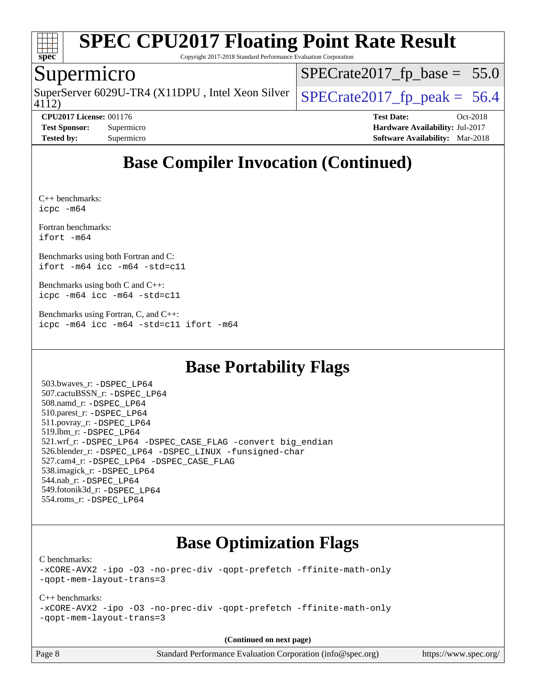

Copyright 2017-2018 Standard Performance Evaluation Corporation

#### Supermicro

4112) SuperServer 6029U-TR4 (X11DPU, Intel Xeon Silver  $\big|$  [SPECrate2017\\_fp\\_peak =](http://www.spec.org/auto/cpu2017/Docs/result-fields.html#SPECrate2017fppeak) 56.4

 $SPECrate2017_fp\_base = 55.0$ 

**[CPU2017 License:](http://www.spec.org/auto/cpu2017/Docs/result-fields.html#CPU2017License)** 001176 **[Test Date:](http://www.spec.org/auto/cpu2017/Docs/result-fields.html#TestDate)** Oct-2018 **[Test Sponsor:](http://www.spec.org/auto/cpu2017/Docs/result-fields.html#TestSponsor)** Supermicro **[Hardware Availability:](http://www.spec.org/auto/cpu2017/Docs/result-fields.html#HardwareAvailability)** Jul-2017 **[Tested by:](http://www.spec.org/auto/cpu2017/Docs/result-fields.html#Testedby)** Supermicro **[Software Availability:](http://www.spec.org/auto/cpu2017/Docs/result-fields.html#SoftwareAvailability)** Mar-2018

## **[Base Compiler Invocation \(Continued\)](http://www.spec.org/auto/cpu2017/Docs/result-fields.html#BaseCompilerInvocation)**

[C++ benchmarks](http://www.spec.org/auto/cpu2017/Docs/result-fields.html#CXXbenchmarks): [icpc -m64](http://www.spec.org/cpu2017/results/res2018q4/cpu2017-20181015-09217.flags.html#user_CXXbase_intel_icpc_64bit_4ecb2543ae3f1412ef961e0650ca070fec7b7afdcd6ed48761b84423119d1bf6bdf5cad15b44d48e7256388bc77273b966e5eb805aefd121eb22e9299b2ec9d9)

[Fortran benchmarks](http://www.spec.org/auto/cpu2017/Docs/result-fields.html#Fortranbenchmarks): [ifort -m64](http://www.spec.org/cpu2017/results/res2018q4/cpu2017-20181015-09217.flags.html#user_FCbase_intel_ifort_64bit_24f2bb282fbaeffd6157abe4f878425411749daecae9a33200eee2bee2fe76f3b89351d69a8130dd5949958ce389cf37ff59a95e7a40d588e8d3a57e0c3fd751)

[Benchmarks using both Fortran and C:](http://www.spec.org/auto/cpu2017/Docs/result-fields.html#BenchmarksusingbothFortranandC) [ifort -m64](http://www.spec.org/cpu2017/results/res2018q4/cpu2017-20181015-09217.flags.html#user_CC_FCbase_intel_ifort_64bit_24f2bb282fbaeffd6157abe4f878425411749daecae9a33200eee2bee2fe76f3b89351d69a8130dd5949958ce389cf37ff59a95e7a40d588e8d3a57e0c3fd751) [icc -m64 -std=c11](http://www.spec.org/cpu2017/results/res2018q4/cpu2017-20181015-09217.flags.html#user_CC_FCbase_intel_icc_64bit_c11_33ee0cdaae7deeeab2a9725423ba97205ce30f63b9926c2519791662299b76a0318f32ddfffdc46587804de3178b4f9328c46fa7c2b0cd779d7a61945c91cd35)

[Benchmarks using both C and C++](http://www.spec.org/auto/cpu2017/Docs/result-fields.html#BenchmarksusingbothCandCXX): [icpc -m64](http://www.spec.org/cpu2017/results/res2018q4/cpu2017-20181015-09217.flags.html#user_CC_CXXbase_intel_icpc_64bit_4ecb2543ae3f1412ef961e0650ca070fec7b7afdcd6ed48761b84423119d1bf6bdf5cad15b44d48e7256388bc77273b966e5eb805aefd121eb22e9299b2ec9d9) [icc -m64 -std=c11](http://www.spec.org/cpu2017/results/res2018q4/cpu2017-20181015-09217.flags.html#user_CC_CXXbase_intel_icc_64bit_c11_33ee0cdaae7deeeab2a9725423ba97205ce30f63b9926c2519791662299b76a0318f32ddfffdc46587804de3178b4f9328c46fa7c2b0cd779d7a61945c91cd35)

[Benchmarks using Fortran, C, and C++:](http://www.spec.org/auto/cpu2017/Docs/result-fields.html#BenchmarksusingFortranCandCXX) [icpc -m64](http://www.spec.org/cpu2017/results/res2018q4/cpu2017-20181015-09217.flags.html#user_CC_CXX_FCbase_intel_icpc_64bit_4ecb2543ae3f1412ef961e0650ca070fec7b7afdcd6ed48761b84423119d1bf6bdf5cad15b44d48e7256388bc77273b966e5eb805aefd121eb22e9299b2ec9d9) [icc -m64 -std=c11](http://www.spec.org/cpu2017/results/res2018q4/cpu2017-20181015-09217.flags.html#user_CC_CXX_FCbase_intel_icc_64bit_c11_33ee0cdaae7deeeab2a9725423ba97205ce30f63b9926c2519791662299b76a0318f32ddfffdc46587804de3178b4f9328c46fa7c2b0cd779d7a61945c91cd35) [ifort -m64](http://www.spec.org/cpu2017/results/res2018q4/cpu2017-20181015-09217.flags.html#user_CC_CXX_FCbase_intel_ifort_64bit_24f2bb282fbaeffd6157abe4f878425411749daecae9a33200eee2bee2fe76f3b89351d69a8130dd5949958ce389cf37ff59a95e7a40d588e8d3a57e0c3fd751)

## **[Base Portability Flags](http://www.spec.org/auto/cpu2017/Docs/result-fields.html#BasePortabilityFlags)**

 503.bwaves\_r: [-DSPEC\\_LP64](http://www.spec.org/cpu2017/results/res2018q4/cpu2017-20181015-09217.flags.html#suite_basePORTABILITY503_bwaves_r_DSPEC_LP64) 507.cactuBSSN\_r: [-DSPEC\\_LP64](http://www.spec.org/cpu2017/results/res2018q4/cpu2017-20181015-09217.flags.html#suite_basePORTABILITY507_cactuBSSN_r_DSPEC_LP64) 508.namd\_r: [-DSPEC\\_LP64](http://www.spec.org/cpu2017/results/res2018q4/cpu2017-20181015-09217.flags.html#suite_basePORTABILITY508_namd_r_DSPEC_LP64) 510.parest\_r: [-DSPEC\\_LP64](http://www.spec.org/cpu2017/results/res2018q4/cpu2017-20181015-09217.flags.html#suite_basePORTABILITY510_parest_r_DSPEC_LP64) 511.povray\_r: [-DSPEC\\_LP64](http://www.spec.org/cpu2017/results/res2018q4/cpu2017-20181015-09217.flags.html#suite_basePORTABILITY511_povray_r_DSPEC_LP64) 519.lbm\_r: [-DSPEC\\_LP64](http://www.spec.org/cpu2017/results/res2018q4/cpu2017-20181015-09217.flags.html#suite_basePORTABILITY519_lbm_r_DSPEC_LP64) 521.wrf\_r: [-DSPEC\\_LP64](http://www.spec.org/cpu2017/results/res2018q4/cpu2017-20181015-09217.flags.html#suite_basePORTABILITY521_wrf_r_DSPEC_LP64) [-DSPEC\\_CASE\\_FLAG](http://www.spec.org/cpu2017/results/res2018q4/cpu2017-20181015-09217.flags.html#b521.wrf_r_baseCPORTABILITY_DSPEC_CASE_FLAG) [-convert big\\_endian](http://www.spec.org/cpu2017/results/res2018q4/cpu2017-20181015-09217.flags.html#user_baseFPORTABILITY521_wrf_r_convert_big_endian_c3194028bc08c63ac5d04de18c48ce6d347e4e562e8892b8bdbdc0214820426deb8554edfa529a3fb25a586e65a3d812c835984020483e7e73212c4d31a38223) 526.blender\_r: [-DSPEC\\_LP64](http://www.spec.org/cpu2017/results/res2018q4/cpu2017-20181015-09217.flags.html#suite_basePORTABILITY526_blender_r_DSPEC_LP64) [-DSPEC\\_LINUX](http://www.spec.org/cpu2017/results/res2018q4/cpu2017-20181015-09217.flags.html#b526.blender_r_baseCPORTABILITY_DSPEC_LINUX) [-funsigned-char](http://www.spec.org/cpu2017/results/res2018q4/cpu2017-20181015-09217.flags.html#user_baseCPORTABILITY526_blender_r_force_uchar_40c60f00ab013830e2dd6774aeded3ff59883ba5a1fc5fc14077f794d777847726e2a5858cbc7672e36e1b067e7e5c1d9a74f7176df07886a243d7cc18edfe67) 527.cam4\_r: [-DSPEC\\_LP64](http://www.spec.org/cpu2017/results/res2018q4/cpu2017-20181015-09217.flags.html#suite_basePORTABILITY527_cam4_r_DSPEC_LP64) [-DSPEC\\_CASE\\_FLAG](http://www.spec.org/cpu2017/results/res2018q4/cpu2017-20181015-09217.flags.html#b527.cam4_r_baseCPORTABILITY_DSPEC_CASE_FLAG) 538.imagick\_r: [-DSPEC\\_LP64](http://www.spec.org/cpu2017/results/res2018q4/cpu2017-20181015-09217.flags.html#suite_basePORTABILITY538_imagick_r_DSPEC_LP64) 544.nab\_r: [-DSPEC\\_LP64](http://www.spec.org/cpu2017/results/res2018q4/cpu2017-20181015-09217.flags.html#suite_basePORTABILITY544_nab_r_DSPEC_LP64) 549.fotonik3d\_r: [-DSPEC\\_LP64](http://www.spec.org/cpu2017/results/res2018q4/cpu2017-20181015-09217.flags.html#suite_basePORTABILITY549_fotonik3d_r_DSPEC_LP64) 554.roms\_r: [-DSPEC\\_LP64](http://www.spec.org/cpu2017/results/res2018q4/cpu2017-20181015-09217.flags.html#suite_basePORTABILITY554_roms_r_DSPEC_LP64)

## **[Base Optimization Flags](http://www.spec.org/auto/cpu2017/Docs/result-fields.html#BaseOptimizationFlags)**

[C benchmarks](http://www.spec.org/auto/cpu2017/Docs/result-fields.html#Cbenchmarks):

[-xCORE-AVX2](http://www.spec.org/cpu2017/results/res2018q4/cpu2017-20181015-09217.flags.html#user_CCbase_f-xCORE-AVX2) [-ipo](http://www.spec.org/cpu2017/results/res2018q4/cpu2017-20181015-09217.flags.html#user_CCbase_f-ipo) [-O3](http://www.spec.org/cpu2017/results/res2018q4/cpu2017-20181015-09217.flags.html#user_CCbase_f-O3) [-no-prec-div](http://www.spec.org/cpu2017/results/res2018q4/cpu2017-20181015-09217.flags.html#user_CCbase_f-no-prec-div) [-qopt-prefetch](http://www.spec.org/cpu2017/results/res2018q4/cpu2017-20181015-09217.flags.html#user_CCbase_f-qopt-prefetch) [-ffinite-math-only](http://www.spec.org/cpu2017/results/res2018q4/cpu2017-20181015-09217.flags.html#user_CCbase_f_finite_math_only_cb91587bd2077682c4b38af759c288ed7c732db004271a9512da14a4f8007909a5f1427ecbf1a0fb78ff2a814402c6114ac565ca162485bbcae155b5e4258871) [-qopt-mem-layout-trans=3](http://www.spec.org/cpu2017/results/res2018q4/cpu2017-20181015-09217.flags.html#user_CCbase_f-qopt-mem-layout-trans_de80db37974c74b1f0e20d883f0b675c88c3b01e9d123adea9b28688d64333345fb62bc4a798493513fdb68f60282f9a726aa07f478b2f7113531aecce732043)

#### [C++ benchmarks:](http://www.spec.org/auto/cpu2017/Docs/result-fields.html#CXXbenchmarks)

[-xCORE-AVX2](http://www.spec.org/cpu2017/results/res2018q4/cpu2017-20181015-09217.flags.html#user_CXXbase_f-xCORE-AVX2) [-ipo](http://www.spec.org/cpu2017/results/res2018q4/cpu2017-20181015-09217.flags.html#user_CXXbase_f-ipo) [-O3](http://www.spec.org/cpu2017/results/res2018q4/cpu2017-20181015-09217.flags.html#user_CXXbase_f-O3) [-no-prec-div](http://www.spec.org/cpu2017/results/res2018q4/cpu2017-20181015-09217.flags.html#user_CXXbase_f-no-prec-div) [-qopt-prefetch](http://www.spec.org/cpu2017/results/res2018q4/cpu2017-20181015-09217.flags.html#user_CXXbase_f-qopt-prefetch) [-ffinite-math-only](http://www.spec.org/cpu2017/results/res2018q4/cpu2017-20181015-09217.flags.html#user_CXXbase_f_finite_math_only_cb91587bd2077682c4b38af759c288ed7c732db004271a9512da14a4f8007909a5f1427ecbf1a0fb78ff2a814402c6114ac565ca162485bbcae155b5e4258871) [-qopt-mem-layout-trans=3](http://www.spec.org/cpu2017/results/res2018q4/cpu2017-20181015-09217.flags.html#user_CXXbase_f-qopt-mem-layout-trans_de80db37974c74b1f0e20d883f0b675c88c3b01e9d123adea9b28688d64333345fb62bc4a798493513fdb68f60282f9a726aa07f478b2f7113531aecce732043)

**(Continued on next page)**

Page 8 Standard Performance Evaluation Corporation [\(info@spec.org\)](mailto:info@spec.org) <https://www.spec.org/>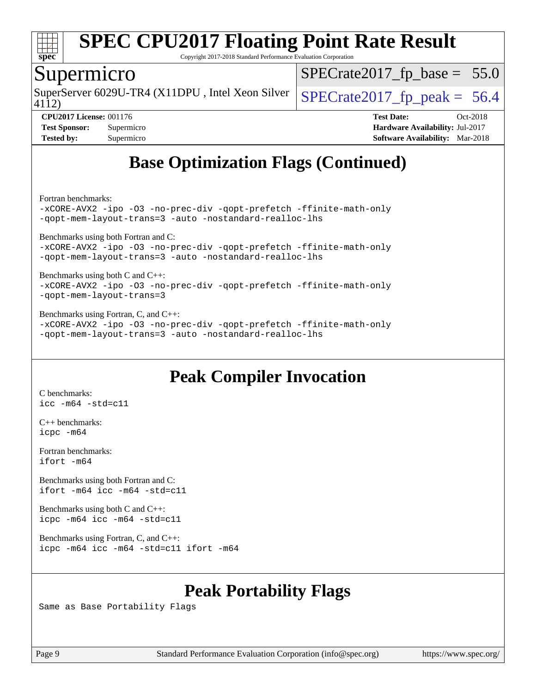

Copyright 2017-2018 Standard Performance Evaluation Corporation

#### Supermicro

SuperServer 6029U-TR4 (X11DPU, Intel Xeon Silver  $\big|$  SPECrate 2017 fp peak = 56.4

 $SPECTate2017_fp\_base = 55.0$ 

4112)

**[CPU2017 License:](http://www.spec.org/auto/cpu2017/Docs/result-fields.html#CPU2017License)** 001176 **[Test Date:](http://www.spec.org/auto/cpu2017/Docs/result-fields.html#TestDate)** Oct-2018 **[Test Sponsor:](http://www.spec.org/auto/cpu2017/Docs/result-fields.html#TestSponsor)** Supermicro **[Hardware Availability:](http://www.spec.org/auto/cpu2017/Docs/result-fields.html#HardwareAvailability)** Jul-2017 **[Tested by:](http://www.spec.org/auto/cpu2017/Docs/result-fields.html#Testedby)** Supermicro **[Software Availability:](http://www.spec.org/auto/cpu2017/Docs/result-fields.html#SoftwareAvailability)** Mar-2018

## **[Base Optimization Flags \(Continued\)](http://www.spec.org/auto/cpu2017/Docs/result-fields.html#BaseOptimizationFlags)**

[Fortran benchmarks](http://www.spec.org/auto/cpu2017/Docs/result-fields.html#Fortranbenchmarks):

[-xCORE-AVX2](http://www.spec.org/cpu2017/results/res2018q4/cpu2017-20181015-09217.flags.html#user_FCbase_f-xCORE-AVX2) [-ipo](http://www.spec.org/cpu2017/results/res2018q4/cpu2017-20181015-09217.flags.html#user_FCbase_f-ipo) [-O3](http://www.spec.org/cpu2017/results/res2018q4/cpu2017-20181015-09217.flags.html#user_FCbase_f-O3) [-no-prec-div](http://www.spec.org/cpu2017/results/res2018q4/cpu2017-20181015-09217.flags.html#user_FCbase_f-no-prec-div) [-qopt-prefetch](http://www.spec.org/cpu2017/results/res2018q4/cpu2017-20181015-09217.flags.html#user_FCbase_f-qopt-prefetch) [-ffinite-math-only](http://www.spec.org/cpu2017/results/res2018q4/cpu2017-20181015-09217.flags.html#user_FCbase_f_finite_math_only_cb91587bd2077682c4b38af759c288ed7c732db004271a9512da14a4f8007909a5f1427ecbf1a0fb78ff2a814402c6114ac565ca162485bbcae155b5e4258871) [-qopt-mem-layout-trans=3](http://www.spec.org/cpu2017/results/res2018q4/cpu2017-20181015-09217.flags.html#user_FCbase_f-qopt-mem-layout-trans_de80db37974c74b1f0e20d883f0b675c88c3b01e9d123adea9b28688d64333345fb62bc4a798493513fdb68f60282f9a726aa07f478b2f7113531aecce732043) [-auto](http://www.spec.org/cpu2017/results/res2018q4/cpu2017-20181015-09217.flags.html#user_FCbase_f-auto) [-nostandard-realloc-lhs](http://www.spec.org/cpu2017/results/res2018q4/cpu2017-20181015-09217.flags.html#user_FCbase_f_2003_std_realloc_82b4557e90729c0f113870c07e44d33d6f5a304b4f63d4c15d2d0f1fab99f5daaed73bdb9275d9ae411527f28b936061aa8b9c8f2d63842963b95c9dd6426b8a)

[Benchmarks using both Fortran and C](http://www.spec.org/auto/cpu2017/Docs/result-fields.html#BenchmarksusingbothFortranandC):

[-xCORE-AVX2](http://www.spec.org/cpu2017/results/res2018q4/cpu2017-20181015-09217.flags.html#user_CC_FCbase_f-xCORE-AVX2) [-ipo](http://www.spec.org/cpu2017/results/res2018q4/cpu2017-20181015-09217.flags.html#user_CC_FCbase_f-ipo) [-O3](http://www.spec.org/cpu2017/results/res2018q4/cpu2017-20181015-09217.flags.html#user_CC_FCbase_f-O3) [-no-prec-div](http://www.spec.org/cpu2017/results/res2018q4/cpu2017-20181015-09217.flags.html#user_CC_FCbase_f-no-prec-div) [-qopt-prefetch](http://www.spec.org/cpu2017/results/res2018q4/cpu2017-20181015-09217.flags.html#user_CC_FCbase_f-qopt-prefetch) [-ffinite-math-only](http://www.spec.org/cpu2017/results/res2018q4/cpu2017-20181015-09217.flags.html#user_CC_FCbase_f_finite_math_only_cb91587bd2077682c4b38af759c288ed7c732db004271a9512da14a4f8007909a5f1427ecbf1a0fb78ff2a814402c6114ac565ca162485bbcae155b5e4258871) [-qopt-mem-layout-trans=3](http://www.spec.org/cpu2017/results/res2018q4/cpu2017-20181015-09217.flags.html#user_CC_FCbase_f-qopt-mem-layout-trans_de80db37974c74b1f0e20d883f0b675c88c3b01e9d123adea9b28688d64333345fb62bc4a798493513fdb68f60282f9a726aa07f478b2f7113531aecce732043) [-auto](http://www.spec.org/cpu2017/results/res2018q4/cpu2017-20181015-09217.flags.html#user_CC_FCbase_f-auto) [-nostandard-realloc-lhs](http://www.spec.org/cpu2017/results/res2018q4/cpu2017-20181015-09217.flags.html#user_CC_FCbase_f_2003_std_realloc_82b4557e90729c0f113870c07e44d33d6f5a304b4f63d4c15d2d0f1fab99f5daaed73bdb9275d9ae411527f28b936061aa8b9c8f2d63842963b95c9dd6426b8a)

[Benchmarks using both C and C++](http://www.spec.org/auto/cpu2017/Docs/result-fields.html#BenchmarksusingbothCandCXX): [-xCORE-AVX2](http://www.spec.org/cpu2017/results/res2018q4/cpu2017-20181015-09217.flags.html#user_CC_CXXbase_f-xCORE-AVX2) [-ipo](http://www.spec.org/cpu2017/results/res2018q4/cpu2017-20181015-09217.flags.html#user_CC_CXXbase_f-ipo) [-O3](http://www.spec.org/cpu2017/results/res2018q4/cpu2017-20181015-09217.flags.html#user_CC_CXXbase_f-O3) [-no-prec-div](http://www.spec.org/cpu2017/results/res2018q4/cpu2017-20181015-09217.flags.html#user_CC_CXXbase_f-no-prec-div) [-qopt-prefetch](http://www.spec.org/cpu2017/results/res2018q4/cpu2017-20181015-09217.flags.html#user_CC_CXXbase_f-qopt-prefetch) [-ffinite-math-only](http://www.spec.org/cpu2017/results/res2018q4/cpu2017-20181015-09217.flags.html#user_CC_CXXbase_f_finite_math_only_cb91587bd2077682c4b38af759c288ed7c732db004271a9512da14a4f8007909a5f1427ecbf1a0fb78ff2a814402c6114ac565ca162485bbcae155b5e4258871) [-qopt-mem-layout-trans=3](http://www.spec.org/cpu2017/results/res2018q4/cpu2017-20181015-09217.flags.html#user_CC_CXXbase_f-qopt-mem-layout-trans_de80db37974c74b1f0e20d883f0b675c88c3b01e9d123adea9b28688d64333345fb62bc4a798493513fdb68f60282f9a726aa07f478b2f7113531aecce732043)

[Benchmarks using Fortran, C, and C++:](http://www.spec.org/auto/cpu2017/Docs/result-fields.html#BenchmarksusingFortranCandCXX) [-xCORE-AVX2](http://www.spec.org/cpu2017/results/res2018q4/cpu2017-20181015-09217.flags.html#user_CC_CXX_FCbase_f-xCORE-AVX2) [-ipo](http://www.spec.org/cpu2017/results/res2018q4/cpu2017-20181015-09217.flags.html#user_CC_CXX_FCbase_f-ipo) [-O3](http://www.spec.org/cpu2017/results/res2018q4/cpu2017-20181015-09217.flags.html#user_CC_CXX_FCbase_f-O3) [-no-prec-div](http://www.spec.org/cpu2017/results/res2018q4/cpu2017-20181015-09217.flags.html#user_CC_CXX_FCbase_f-no-prec-div) [-qopt-prefetch](http://www.spec.org/cpu2017/results/res2018q4/cpu2017-20181015-09217.flags.html#user_CC_CXX_FCbase_f-qopt-prefetch) [-ffinite-math-only](http://www.spec.org/cpu2017/results/res2018q4/cpu2017-20181015-09217.flags.html#user_CC_CXX_FCbase_f_finite_math_only_cb91587bd2077682c4b38af759c288ed7c732db004271a9512da14a4f8007909a5f1427ecbf1a0fb78ff2a814402c6114ac565ca162485bbcae155b5e4258871) [-qopt-mem-layout-trans=3](http://www.spec.org/cpu2017/results/res2018q4/cpu2017-20181015-09217.flags.html#user_CC_CXX_FCbase_f-qopt-mem-layout-trans_de80db37974c74b1f0e20d883f0b675c88c3b01e9d123adea9b28688d64333345fb62bc4a798493513fdb68f60282f9a726aa07f478b2f7113531aecce732043) [-auto](http://www.spec.org/cpu2017/results/res2018q4/cpu2017-20181015-09217.flags.html#user_CC_CXX_FCbase_f-auto) [-nostandard-realloc-lhs](http://www.spec.org/cpu2017/results/res2018q4/cpu2017-20181015-09217.flags.html#user_CC_CXX_FCbase_f_2003_std_realloc_82b4557e90729c0f113870c07e44d33d6f5a304b4f63d4c15d2d0f1fab99f5daaed73bdb9275d9ae411527f28b936061aa8b9c8f2d63842963b95c9dd6426b8a)

## **[Peak Compiler Invocation](http://www.spec.org/auto/cpu2017/Docs/result-fields.html#PeakCompilerInvocation)**

[C benchmarks](http://www.spec.org/auto/cpu2017/Docs/result-fields.html#Cbenchmarks): [icc -m64 -std=c11](http://www.spec.org/cpu2017/results/res2018q4/cpu2017-20181015-09217.flags.html#user_CCpeak_intel_icc_64bit_c11_33ee0cdaae7deeeab2a9725423ba97205ce30f63b9926c2519791662299b76a0318f32ddfffdc46587804de3178b4f9328c46fa7c2b0cd779d7a61945c91cd35)

[C++ benchmarks:](http://www.spec.org/auto/cpu2017/Docs/result-fields.html#CXXbenchmarks) [icpc -m64](http://www.spec.org/cpu2017/results/res2018q4/cpu2017-20181015-09217.flags.html#user_CXXpeak_intel_icpc_64bit_4ecb2543ae3f1412ef961e0650ca070fec7b7afdcd6ed48761b84423119d1bf6bdf5cad15b44d48e7256388bc77273b966e5eb805aefd121eb22e9299b2ec9d9)

[Fortran benchmarks](http://www.spec.org/auto/cpu2017/Docs/result-fields.html#Fortranbenchmarks): [ifort -m64](http://www.spec.org/cpu2017/results/res2018q4/cpu2017-20181015-09217.flags.html#user_FCpeak_intel_ifort_64bit_24f2bb282fbaeffd6157abe4f878425411749daecae9a33200eee2bee2fe76f3b89351d69a8130dd5949958ce389cf37ff59a95e7a40d588e8d3a57e0c3fd751)

[Benchmarks using both Fortran and C](http://www.spec.org/auto/cpu2017/Docs/result-fields.html#BenchmarksusingbothFortranandC): [ifort -m64](http://www.spec.org/cpu2017/results/res2018q4/cpu2017-20181015-09217.flags.html#user_CC_FCpeak_intel_ifort_64bit_24f2bb282fbaeffd6157abe4f878425411749daecae9a33200eee2bee2fe76f3b89351d69a8130dd5949958ce389cf37ff59a95e7a40d588e8d3a57e0c3fd751) [icc -m64 -std=c11](http://www.spec.org/cpu2017/results/res2018q4/cpu2017-20181015-09217.flags.html#user_CC_FCpeak_intel_icc_64bit_c11_33ee0cdaae7deeeab2a9725423ba97205ce30f63b9926c2519791662299b76a0318f32ddfffdc46587804de3178b4f9328c46fa7c2b0cd779d7a61945c91cd35)

[Benchmarks using both C and C++](http://www.spec.org/auto/cpu2017/Docs/result-fields.html#BenchmarksusingbothCandCXX): [icpc -m64](http://www.spec.org/cpu2017/results/res2018q4/cpu2017-20181015-09217.flags.html#user_CC_CXXpeak_intel_icpc_64bit_4ecb2543ae3f1412ef961e0650ca070fec7b7afdcd6ed48761b84423119d1bf6bdf5cad15b44d48e7256388bc77273b966e5eb805aefd121eb22e9299b2ec9d9) [icc -m64 -std=c11](http://www.spec.org/cpu2017/results/res2018q4/cpu2017-20181015-09217.flags.html#user_CC_CXXpeak_intel_icc_64bit_c11_33ee0cdaae7deeeab2a9725423ba97205ce30f63b9926c2519791662299b76a0318f32ddfffdc46587804de3178b4f9328c46fa7c2b0cd779d7a61945c91cd35)

[Benchmarks using Fortran, C, and C++:](http://www.spec.org/auto/cpu2017/Docs/result-fields.html#BenchmarksusingFortranCandCXX) [icpc -m64](http://www.spec.org/cpu2017/results/res2018q4/cpu2017-20181015-09217.flags.html#user_CC_CXX_FCpeak_intel_icpc_64bit_4ecb2543ae3f1412ef961e0650ca070fec7b7afdcd6ed48761b84423119d1bf6bdf5cad15b44d48e7256388bc77273b966e5eb805aefd121eb22e9299b2ec9d9) [icc -m64 -std=c11](http://www.spec.org/cpu2017/results/res2018q4/cpu2017-20181015-09217.flags.html#user_CC_CXX_FCpeak_intel_icc_64bit_c11_33ee0cdaae7deeeab2a9725423ba97205ce30f63b9926c2519791662299b76a0318f32ddfffdc46587804de3178b4f9328c46fa7c2b0cd779d7a61945c91cd35) [ifort -m64](http://www.spec.org/cpu2017/results/res2018q4/cpu2017-20181015-09217.flags.html#user_CC_CXX_FCpeak_intel_ifort_64bit_24f2bb282fbaeffd6157abe4f878425411749daecae9a33200eee2bee2fe76f3b89351d69a8130dd5949958ce389cf37ff59a95e7a40d588e8d3a57e0c3fd751)

## **[Peak Portability Flags](http://www.spec.org/auto/cpu2017/Docs/result-fields.html#PeakPortabilityFlags)**

Same as Base Portability Flags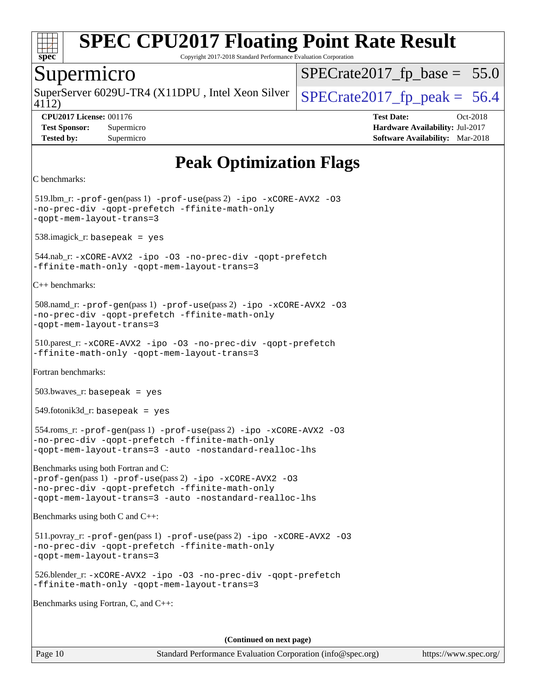

Copyright 2017-2018 Standard Performance Evaluation Corporation

#### Supermicro

4112) SuperServer 6029U-TR4 (X11DPU, Intel Xeon Silver  $\big|$  SPECrate 2017 fp peak = 56.4

 $SPECrate2017_fp\_base = 55.0$ 

**[CPU2017 License:](http://www.spec.org/auto/cpu2017/Docs/result-fields.html#CPU2017License)** 001176 **[Test Date:](http://www.spec.org/auto/cpu2017/Docs/result-fields.html#TestDate)** Oct-2018 **[Test Sponsor:](http://www.spec.org/auto/cpu2017/Docs/result-fields.html#TestSponsor)** Supermicro **[Hardware Availability:](http://www.spec.org/auto/cpu2017/Docs/result-fields.html#HardwareAvailability)** Jul-2017 **[Tested by:](http://www.spec.org/auto/cpu2017/Docs/result-fields.html#Testedby)** Supermicro **[Software Availability:](http://www.spec.org/auto/cpu2017/Docs/result-fields.html#SoftwareAvailability)** Mar-2018

## **[Peak Optimization Flags](http://www.spec.org/auto/cpu2017/Docs/result-fields.html#PeakOptimizationFlags)**

```
C benchmarks:
```
 519.lbm\_r: [-prof-gen](http://www.spec.org/cpu2017/results/res2018q4/cpu2017-20181015-09217.flags.html#user_peakPASS1_CFLAGSPASS1_LDFLAGS519_lbm_r_prof_gen_5aa4926d6013ddb2a31985c654b3eb18169fc0c6952a63635c234f711e6e63dd76e94ad52365559451ec499a2cdb89e4dc58ba4c67ef54ca681ffbe1461d6b36)(pass 1) [-prof-use](http://www.spec.org/cpu2017/results/res2018q4/cpu2017-20181015-09217.flags.html#user_peakPASS2_CFLAGSPASS2_LDFLAGS519_lbm_r_prof_use_1a21ceae95f36a2b53c25747139a6c16ca95bd9def2a207b4f0849963b97e94f5260e30a0c64f4bb623698870e679ca08317ef8150905d41bd88c6f78df73f19)(pass 2) [-ipo](http://www.spec.org/cpu2017/results/res2018q4/cpu2017-20181015-09217.flags.html#user_peakPASS1_COPTIMIZEPASS2_COPTIMIZE519_lbm_r_f-ipo) [-xCORE-AVX2](http://www.spec.org/cpu2017/results/res2018q4/cpu2017-20181015-09217.flags.html#user_peakPASS2_COPTIMIZE519_lbm_r_f-xCORE-AVX2) [-O3](http://www.spec.org/cpu2017/results/res2018q4/cpu2017-20181015-09217.flags.html#user_peakPASS1_COPTIMIZEPASS2_COPTIMIZE519_lbm_r_f-O3) [-no-prec-div](http://www.spec.org/cpu2017/results/res2018q4/cpu2017-20181015-09217.flags.html#user_peakPASS1_COPTIMIZEPASS2_COPTIMIZE519_lbm_r_f-no-prec-div) [-qopt-prefetch](http://www.spec.org/cpu2017/results/res2018q4/cpu2017-20181015-09217.flags.html#user_peakPASS1_COPTIMIZEPASS2_COPTIMIZE519_lbm_r_f-qopt-prefetch) [-ffinite-math-only](http://www.spec.org/cpu2017/results/res2018q4/cpu2017-20181015-09217.flags.html#user_peakPASS1_COPTIMIZEPASS2_COPTIMIZE519_lbm_r_f_finite_math_only_cb91587bd2077682c4b38af759c288ed7c732db004271a9512da14a4f8007909a5f1427ecbf1a0fb78ff2a814402c6114ac565ca162485bbcae155b5e4258871) [-qopt-mem-layout-trans=3](http://www.spec.org/cpu2017/results/res2018q4/cpu2017-20181015-09217.flags.html#user_peakPASS1_COPTIMIZEPASS2_COPTIMIZE519_lbm_r_f-qopt-mem-layout-trans_de80db37974c74b1f0e20d883f0b675c88c3b01e9d123adea9b28688d64333345fb62bc4a798493513fdb68f60282f9a726aa07f478b2f7113531aecce732043) 538.imagick\_r: basepeak = yes 544.nab\_r: [-xCORE-AVX2](http://www.spec.org/cpu2017/results/res2018q4/cpu2017-20181015-09217.flags.html#user_peakCOPTIMIZE544_nab_r_f-xCORE-AVX2) [-ipo](http://www.spec.org/cpu2017/results/res2018q4/cpu2017-20181015-09217.flags.html#user_peakCOPTIMIZE544_nab_r_f-ipo) [-O3](http://www.spec.org/cpu2017/results/res2018q4/cpu2017-20181015-09217.flags.html#user_peakCOPTIMIZE544_nab_r_f-O3) [-no-prec-div](http://www.spec.org/cpu2017/results/res2018q4/cpu2017-20181015-09217.flags.html#user_peakCOPTIMIZE544_nab_r_f-no-prec-div) [-qopt-prefetch](http://www.spec.org/cpu2017/results/res2018q4/cpu2017-20181015-09217.flags.html#user_peakCOPTIMIZE544_nab_r_f-qopt-prefetch) [-ffinite-math-only](http://www.spec.org/cpu2017/results/res2018q4/cpu2017-20181015-09217.flags.html#user_peakCOPTIMIZE544_nab_r_f_finite_math_only_cb91587bd2077682c4b38af759c288ed7c732db004271a9512da14a4f8007909a5f1427ecbf1a0fb78ff2a814402c6114ac565ca162485bbcae155b5e4258871) [-qopt-mem-layout-trans=3](http://www.spec.org/cpu2017/results/res2018q4/cpu2017-20181015-09217.flags.html#user_peakCOPTIMIZE544_nab_r_f-qopt-mem-layout-trans_de80db37974c74b1f0e20d883f0b675c88c3b01e9d123adea9b28688d64333345fb62bc4a798493513fdb68f60282f9a726aa07f478b2f7113531aecce732043) [C++ benchmarks](http://www.spec.org/auto/cpu2017/Docs/result-fields.html#CXXbenchmarks): 508.namd\_r: [-prof-gen](http://www.spec.org/cpu2017/results/res2018q4/cpu2017-20181015-09217.flags.html#user_peakPASS1_CXXFLAGSPASS1_LDFLAGS508_namd_r_prof_gen_5aa4926d6013ddb2a31985c654b3eb18169fc0c6952a63635c234f711e6e63dd76e94ad52365559451ec499a2cdb89e4dc58ba4c67ef54ca681ffbe1461d6b36)(pass 1) [-prof-use](http://www.spec.org/cpu2017/results/res2018q4/cpu2017-20181015-09217.flags.html#user_peakPASS2_CXXFLAGSPASS2_LDFLAGS508_namd_r_prof_use_1a21ceae95f36a2b53c25747139a6c16ca95bd9def2a207b4f0849963b97e94f5260e30a0c64f4bb623698870e679ca08317ef8150905d41bd88c6f78df73f19)(pass 2) [-ipo](http://www.spec.org/cpu2017/results/res2018q4/cpu2017-20181015-09217.flags.html#user_peakPASS1_CXXOPTIMIZEPASS2_CXXOPTIMIZE508_namd_r_f-ipo) [-xCORE-AVX2](http://www.spec.org/cpu2017/results/res2018q4/cpu2017-20181015-09217.flags.html#user_peakPASS2_CXXOPTIMIZE508_namd_r_f-xCORE-AVX2) [-O3](http://www.spec.org/cpu2017/results/res2018q4/cpu2017-20181015-09217.flags.html#user_peakPASS1_CXXOPTIMIZEPASS2_CXXOPTIMIZE508_namd_r_f-O3) [-no-prec-div](http://www.spec.org/cpu2017/results/res2018q4/cpu2017-20181015-09217.flags.html#user_peakPASS1_CXXOPTIMIZEPASS2_CXXOPTIMIZE508_namd_r_f-no-prec-div) [-qopt-prefetch](http://www.spec.org/cpu2017/results/res2018q4/cpu2017-20181015-09217.flags.html#user_peakPASS1_CXXOPTIMIZEPASS2_CXXOPTIMIZE508_namd_r_f-qopt-prefetch) [-ffinite-math-only](http://www.spec.org/cpu2017/results/res2018q4/cpu2017-20181015-09217.flags.html#user_peakPASS1_CXXOPTIMIZEPASS2_CXXOPTIMIZE508_namd_r_f_finite_math_only_cb91587bd2077682c4b38af759c288ed7c732db004271a9512da14a4f8007909a5f1427ecbf1a0fb78ff2a814402c6114ac565ca162485bbcae155b5e4258871) [-qopt-mem-layout-trans=3](http://www.spec.org/cpu2017/results/res2018q4/cpu2017-20181015-09217.flags.html#user_peakPASS1_CXXOPTIMIZEPASS2_CXXOPTIMIZE508_namd_r_f-qopt-mem-layout-trans_de80db37974c74b1f0e20d883f0b675c88c3b01e9d123adea9b28688d64333345fb62bc4a798493513fdb68f60282f9a726aa07f478b2f7113531aecce732043) 510.parest\_r: [-xCORE-AVX2](http://www.spec.org/cpu2017/results/res2018q4/cpu2017-20181015-09217.flags.html#user_peakCXXOPTIMIZE510_parest_r_f-xCORE-AVX2) [-ipo](http://www.spec.org/cpu2017/results/res2018q4/cpu2017-20181015-09217.flags.html#user_peakCXXOPTIMIZE510_parest_r_f-ipo) [-O3](http://www.spec.org/cpu2017/results/res2018q4/cpu2017-20181015-09217.flags.html#user_peakCXXOPTIMIZE510_parest_r_f-O3) [-no-prec-div](http://www.spec.org/cpu2017/results/res2018q4/cpu2017-20181015-09217.flags.html#user_peakCXXOPTIMIZE510_parest_r_f-no-prec-div) [-qopt-prefetch](http://www.spec.org/cpu2017/results/res2018q4/cpu2017-20181015-09217.flags.html#user_peakCXXOPTIMIZE510_parest_r_f-qopt-prefetch) [-ffinite-math-only](http://www.spec.org/cpu2017/results/res2018q4/cpu2017-20181015-09217.flags.html#user_peakCXXOPTIMIZE510_parest_r_f_finite_math_only_cb91587bd2077682c4b38af759c288ed7c732db004271a9512da14a4f8007909a5f1427ecbf1a0fb78ff2a814402c6114ac565ca162485bbcae155b5e4258871) [-qopt-mem-layout-trans=3](http://www.spec.org/cpu2017/results/res2018q4/cpu2017-20181015-09217.flags.html#user_peakCXXOPTIMIZE510_parest_r_f-qopt-mem-layout-trans_de80db37974c74b1f0e20d883f0b675c88c3b01e9d123adea9b28688d64333345fb62bc4a798493513fdb68f60282f9a726aa07f478b2f7113531aecce732043) [Fortran benchmarks:](http://www.spec.org/auto/cpu2017/Docs/result-fields.html#Fortranbenchmarks) 503.bwaves\_r: basepeak = yes  $549.$ fotonik $3d$ <sub>r</sub>: basepeak = yes 554.roms\_r: [-prof-gen](http://www.spec.org/cpu2017/results/res2018q4/cpu2017-20181015-09217.flags.html#user_peakPASS1_FFLAGSPASS1_LDFLAGS554_roms_r_prof_gen_5aa4926d6013ddb2a31985c654b3eb18169fc0c6952a63635c234f711e6e63dd76e94ad52365559451ec499a2cdb89e4dc58ba4c67ef54ca681ffbe1461d6b36)(pass 1) [-prof-use](http://www.spec.org/cpu2017/results/res2018q4/cpu2017-20181015-09217.flags.html#user_peakPASS2_FFLAGSPASS2_LDFLAGS554_roms_r_prof_use_1a21ceae95f36a2b53c25747139a6c16ca95bd9def2a207b4f0849963b97e94f5260e30a0c64f4bb623698870e679ca08317ef8150905d41bd88c6f78df73f19)(pass 2) [-ipo](http://www.spec.org/cpu2017/results/res2018q4/cpu2017-20181015-09217.flags.html#user_peakPASS1_FOPTIMIZEPASS2_FOPTIMIZE554_roms_r_f-ipo) [-xCORE-AVX2](http://www.spec.org/cpu2017/results/res2018q4/cpu2017-20181015-09217.flags.html#user_peakPASS2_FOPTIMIZE554_roms_r_f-xCORE-AVX2) [-O3](http://www.spec.org/cpu2017/results/res2018q4/cpu2017-20181015-09217.flags.html#user_peakPASS1_FOPTIMIZEPASS2_FOPTIMIZE554_roms_r_f-O3) [-no-prec-div](http://www.spec.org/cpu2017/results/res2018q4/cpu2017-20181015-09217.flags.html#user_peakPASS1_FOPTIMIZEPASS2_FOPTIMIZE554_roms_r_f-no-prec-div) [-qopt-prefetch](http://www.spec.org/cpu2017/results/res2018q4/cpu2017-20181015-09217.flags.html#user_peakPASS1_FOPTIMIZEPASS2_FOPTIMIZE554_roms_r_f-qopt-prefetch) [-ffinite-math-only](http://www.spec.org/cpu2017/results/res2018q4/cpu2017-20181015-09217.flags.html#user_peakPASS1_FOPTIMIZEPASS2_FOPTIMIZE554_roms_r_f_finite_math_only_cb91587bd2077682c4b38af759c288ed7c732db004271a9512da14a4f8007909a5f1427ecbf1a0fb78ff2a814402c6114ac565ca162485bbcae155b5e4258871) [-qopt-mem-layout-trans=3](http://www.spec.org/cpu2017/results/res2018q4/cpu2017-20181015-09217.flags.html#user_peakPASS1_FOPTIMIZEPASS2_FOPTIMIZE554_roms_r_f-qopt-mem-layout-trans_de80db37974c74b1f0e20d883f0b675c88c3b01e9d123adea9b28688d64333345fb62bc4a798493513fdb68f60282f9a726aa07f478b2f7113531aecce732043) [-auto](http://www.spec.org/cpu2017/results/res2018q4/cpu2017-20181015-09217.flags.html#user_peakPASS2_FOPTIMIZE554_roms_r_f-auto) [-nostandard-realloc-lhs](http://www.spec.org/cpu2017/results/res2018q4/cpu2017-20181015-09217.flags.html#user_peakEXTRA_FOPTIMIZE554_roms_r_f_2003_std_realloc_82b4557e90729c0f113870c07e44d33d6f5a304b4f63d4c15d2d0f1fab99f5daaed73bdb9275d9ae411527f28b936061aa8b9c8f2d63842963b95c9dd6426b8a) [Benchmarks using both Fortran and C](http://www.spec.org/auto/cpu2017/Docs/result-fields.html#BenchmarksusingbothFortranandC): [-prof-gen](http://www.spec.org/cpu2017/results/res2018q4/cpu2017-20181015-09217.flags.html#user_CC_FCpeak_prof_gen_5aa4926d6013ddb2a31985c654b3eb18169fc0c6952a63635c234f711e6e63dd76e94ad52365559451ec499a2cdb89e4dc58ba4c67ef54ca681ffbe1461d6b36)(pass 1) [-prof-use](http://www.spec.org/cpu2017/results/res2018q4/cpu2017-20181015-09217.flags.html#user_CC_FCpeak_prof_use_1a21ceae95f36a2b53c25747139a6c16ca95bd9def2a207b4f0849963b97e94f5260e30a0c64f4bb623698870e679ca08317ef8150905d41bd88c6f78df73f19)(pass 2) [-ipo](http://www.spec.org/cpu2017/results/res2018q4/cpu2017-20181015-09217.flags.html#user_CC_FCpeak_f-ipo) [-xCORE-AVX2](http://www.spec.org/cpu2017/results/res2018q4/cpu2017-20181015-09217.flags.html#user_CC_FCpeak_f-xCORE-AVX2) [-O3](http://www.spec.org/cpu2017/results/res2018q4/cpu2017-20181015-09217.flags.html#user_CC_FCpeak_f-O3) [-no-prec-div](http://www.spec.org/cpu2017/results/res2018q4/cpu2017-20181015-09217.flags.html#user_CC_FCpeak_f-no-prec-div) [-qopt-prefetch](http://www.spec.org/cpu2017/results/res2018q4/cpu2017-20181015-09217.flags.html#user_CC_FCpeak_f-qopt-prefetch) [-ffinite-math-only](http://www.spec.org/cpu2017/results/res2018q4/cpu2017-20181015-09217.flags.html#user_CC_FCpeak_f_finite_math_only_cb91587bd2077682c4b38af759c288ed7c732db004271a9512da14a4f8007909a5f1427ecbf1a0fb78ff2a814402c6114ac565ca162485bbcae155b5e4258871) [-qopt-mem-layout-trans=3](http://www.spec.org/cpu2017/results/res2018q4/cpu2017-20181015-09217.flags.html#user_CC_FCpeak_f-qopt-mem-layout-trans_de80db37974c74b1f0e20d883f0b675c88c3b01e9d123adea9b28688d64333345fb62bc4a798493513fdb68f60282f9a726aa07f478b2f7113531aecce732043) [-auto](http://www.spec.org/cpu2017/results/res2018q4/cpu2017-20181015-09217.flags.html#user_CC_FCpeak_f-auto) [-nostandard-realloc-lhs](http://www.spec.org/cpu2017/results/res2018q4/cpu2017-20181015-09217.flags.html#user_CC_FCpeak_f_2003_std_realloc_82b4557e90729c0f113870c07e44d33d6f5a304b4f63d4c15d2d0f1fab99f5daaed73bdb9275d9ae411527f28b936061aa8b9c8f2d63842963b95c9dd6426b8a) [Benchmarks using both C and C++:](http://www.spec.org/auto/cpu2017/Docs/result-fields.html#BenchmarksusingbothCandCXX) 511.povray\_r: [-prof-gen](http://www.spec.org/cpu2017/results/res2018q4/cpu2017-20181015-09217.flags.html#user_peakPASS1_CFLAGSPASS1_CXXFLAGSPASS1_LDFLAGS511_povray_r_prof_gen_5aa4926d6013ddb2a31985c654b3eb18169fc0c6952a63635c234f711e6e63dd76e94ad52365559451ec499a2cdb89e4dc58ba4c67ef54ca681ffbe1461d6b36)(pass 1) [-prof-use](http://www.spec.org/cpu2017/results/res2018q4/cpu2017-20181015-09217.flags.html#user_peakPASS2_CFLAGSPASS2_CXXFLAGSPASS2_LDFLAGS511_povray_r_prof_use_1a21ceae95f36a2b53c25747139a6c16ca95bd9def2a207b4f0849963b97e94f5260e30a0c64f4bb623698870e679ca08317ef8150905d41bd88c6f78df73f19)(pass 2) [-ipo](http://www.spec.org/cpu2017/results/res2018q4/cpu2017-20181015-09217.flags.html#user_peakPASS1_COPTIMIZEPASS1_CXXOPTIMIZEPASS2_COPTIMIZEPASS2_CXXOPTIMIZE511_povray_r_f-ipo) [-xCORE-AVX2](http://www.spec.org/cpu2017/results/res2018q4/cpu2017-20181015-09217.flags.html#user_peakPASS2_COPTIMIZEPASS2_CXXOPTIMIZE511_povray_r_f-xCORE-AVX2) [-O3](http://www.spec.org/cpu2017/results/res2018q4/cpu2017-20181015-09217.flags.html#user_peakPASS1_COPTIMIZEPASS1_CXXOPTIMIZEPASS2_COPTIMIZEPASS2_CXXOPTIMIZE511_povray_r_f-O3) [-no-prec-div](http://www.spec.org/cpu2017/results/res2018q4/cpu2017-20181015-09217.flags.html#user_peakPASS1_COPTIMIZEPASS1_CXXOPTIMIZEPASS2_COPTIMIZEPASS2_CXXOPTIMIZE511_povray_r_f-no-prec-div) [-qopt-prefetch](http://www.spec.org/cpu2017/results/res2018q4/cpu2017-20181015-09217.flags.html#user_peakPASS1_COPTIMIZEPASS1_CXXOPTIMIZEPASS2_COPTIMIZEPASS2_CXXOPTIMIZE511_povray_r_f-qopt-prefetch) [-ffinite-math-only](http://www.spec.org/cpu2017/results/res2018q4/cpu2017-20181015-09217.flags.html#user_peakPASS1_COPTIMIZEPASS1_CXXOPTIMIZEPASS2_COPTIMIZEPASS2_CXXOPTIMIZE511_povray_r_f_finite_math_only_cb91587bd2077682c4b38af759c288ed7c732db004271a9512da14a4f8007909a5f1427ecbf1a0fb78ff2a814402c6114ac565ca162485bbcae155b5e4258871) [-qopt-mem-layout-trans=3](http://www.spec.org/cpu2017/results/res2018q4/cpu2017-20181015-09217.flags.html#user_peakPASS1_COPTIMIZEPASS1_CXXOPTIMIZEPASS2_COPTIMIZEPASS2_CXXOPTIMIZE511_povray_r_f-qopt-mem-layout-trans_de80db37974c74b1f0e20d883f0b675c88c3b01e9d123adea9b28688d64333345fb62bc4a798493513fdb68f60282f9a726aa07f478b2f7113531aecce732043) 526.blender\_r: [-xCORE-AVX2](http://www.spec.org/cpu2017/results/res2018q4/cpu2017-20181015-09217.flags.html#user_peakCOPTIMIZECXXOPTIMIZE526_blender_r_f-xCORE-AVX2) [-ipo](http://www.spec.org/cpu2017/results/res2018q4/cpu2017-20181015-09217.flags.html#user_peakCOPTIMIZECXXOPTIMIZE526_blender_r_f-ipo) [-O3](http://www.spec.org/cpu2017/results/res2018q4/cpu2017-20181015-09217.flags.html#user_peakCOPTIMIZECXXOPTIMIZE526_blender_r_f-O3) [-no-prec-div](http://www.spec.org/cpu2017/results/res2018q4/cpu2017-20181015-09217.flags.html#user_peakCOPTIMIZECXXOPTIMIZE526_blender_r_f-no-prec-div) [-qopt-prefetch](http://www.spec.org/cpu2017/results/res2018q4/cpu2017-20181015-09217.flags.html#user_peakCOPTIMIZECXXOPTIMIZE526_blender_r_f-qopt-prefetch) [-ffinite-math-only](http://www.spec.org/cpu2017/results/res2018q4/cpu2017-20181015-09217.flags.html#user_peakCOPTIMIZECXXOPTIMIZE526_blender_r_f_finite_math_only_cb91587bd2077682c4b38af759c288ed7c732db004271a9512da14a4f8007909a5f1427ecbf1a0fb78ff2a814402c6114ac565ca162485bbcae155b5e4258871) [-qopt-mem-layout-trans=3](http://www.spec.org/cpu2017/results/res2018q4/cpu2017-20181015-09217.flags.html#user_peakCOPTIMIZECXXOPTIMIZE526_blender_r_f-qopt-mem-layout-trans_de80db37974c74b1f0e20d883f0b675c88c3b01e9d123adea9b28688d64333345fb62bc4a798493513fdb68f60282f9a726aa07f478b2f7113531aecce732043) [Benchmarks using Fortran, C, and C++](http://www.spec.org/auto/cpu2017/Docs/result-fields.html#BenchmarksusingFortranCandCXX):

**(Continued on next page)**